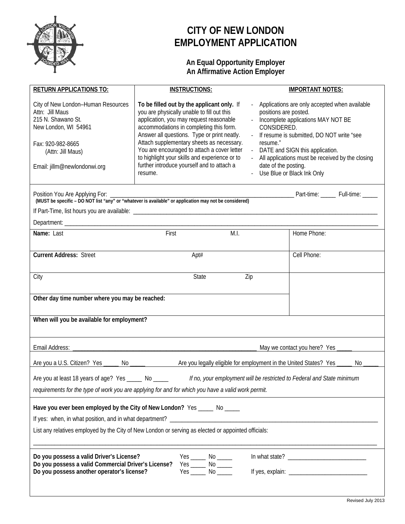

# **CITY OF NEW LONDON EMPLOYMENT APPLICATION**

# **An Equal Opportunity Employer An Affirmative Action Employer**

| <b>RETURN APPLICATIONS TO:</b>                                                                                                                                                                                                     | <b>INSTRUCTIONS:</b>                                                                                                                                                                                                                                                                                                                                                                                                                | <b>IMPORTANT NOTES:</b>                                                                                                                                                                                                                                                                                                                                                           |  |  |  |
|------------------------------------------------------------------------------------------------------------------------------------------------------------------------------------------------------------------------------------|-------------------------------------------------------------------------------------------------------------------------------------------------------------------------------------------------------------------------------------------------------------------------------------------------------------------------------------------------------------------------------------------------------------------------------------|-----------------------------------------------------------------------------------------------------------------------------------------------------------------------------------------------------------------------------------------------------------------------------------------------------------------------------------------------------------------------------------|--|--|--|
| City of New London-Human Resources<br>Attn: Jill Maus<br>215 N. Shawano St.<br>New London, WI 54961<br>Fax: 920-982-8665<br>(Attn: Jill Maus)<br>Email: jillm@newlondonwi.org<br>Position You Are Applying For:                    | To be filled out by the applicant only. If<br>you are physically unable to fill out this<br>application, you may request reasonable<br>accommodations in completing this form.<br>Answer all questions. Type or print neatly.<br>Attach supplementary sheets as necessary.<br>You are encouraged to attach a cover letter<br>to highlight your skills and experience or to<br>further introduce yourself and to attach a<br>resume. | - Applications are only accepted when available<br>positions are posted.<br>- Incomplete applications MAY NOT BE<br>CONSIDERED.<br>If resume is submitted, DO NOT write "see<br>resume."<br>- DATE and SIGN this application.<br>- All applications must be received by the closing<br>date of the posting.<br>- Use Blue or Black Ink Only<br>Part-time: ______ Full-time: _____ |  |  |  |
|                                                                                                                                                                                                                                    |                                                                                                                                                                                                                                                                                                                                                                                                                                     |                                                                                                                                                                                                                                                                                                                                                                                   |  |  |  |
|                                                                                                                                                                                                                                    | M.I.                                                                                                                                                                                                                                                                                                                                                                                                                                | Home Phone:                                                                                                                                                                                                                                                                                                                                                                       |  |  |  |
| <b>Current Address: Street</b>                                                                                                                                                                                                     | Apt#                                                                                                                                                                                                                                                                                                                                                                                                                                | Cell Phone:                                                                                                                                                                                                                                                                                                                                                                       |  |  |  |
| City                                                                                                                                                                                                                               | <b>State</b><br>Zip                                                                                                                                                                                                                                                                                                                                                                                                                 |                                                                                                                                                                                                                                                                                                                                                                                   |  |  |  |
| Other day time number where you may be reached:                                                                                                                                                                                    |                                                                                                                                                                                                                                                                                                                                                                                                                                     |                                                                                                                                                                                                                                                                                                                                                                                   |  |  |  |
| When will you be available for employment?                                                                                                                                                                                         |                                                                                                                                                                                                                                                                                                                                                                                                                                     |                                                                                                                                                                                                                                                                                                                                                                                   |  |  |  |
| Email Address:                                                                                                                                                                                                                     | May we contact you here? Yes_                                                                                                                                                                                                                                                                                                                                                                                                       |                                                                                                                                                                                                                                                                                                                                                                                   |  |  |  |
| Are you a U.S. Citizen? Yes _______ No ______                                                                                                                                                                                      | Are you legally eligible for employment in the United States? Yes ____                                                                                                                                                                                                                                                                                                                                                              | No                                                                                                                                                                                                                                                                                                                                                                                |  |  |  |
| Are you at least 18 years of age? Yes ____<br>If no, your employment will be restricted to Federal and State minimum<br>No _<br>requirements for the type of work you are applying for and for which you have a valid work permit. |                                                                                                                                                                                                                                                                                                                                                                                                                                     |                                                                                                                                                                                                                                                                                                                                                                                   |  |  |  |
| Have you ever been employed by the City of New London? Yes _____ No ____<br>If yes: when, in what position, and in what department? ________________________                                                                       |                                                                                                                                                                                                                                                                                                                                                                                                                                     |                                                                                                                                                                                                                                                                                                                                                                                   |  |  |  |
| List any relatives employed by the City of New London or serving as elected or appointed officials:                                                                                                                                |                                                                                                                                                                                                                                                                                                                                                                                                                                     |                                                                                                                                                                                                                                                                                                                                                                                   |  |  |  |
| Do you possess a valid Driver's License?<br>Do you possess a valid Commercial Driver's License?<br>Do you possess another operator's license?                                                                                      |                                                                                                                                                                                                                                                                                                                                                                                                                                     |                                                                                                                                                                                                                                                                                                                                                                                   |  |  |  |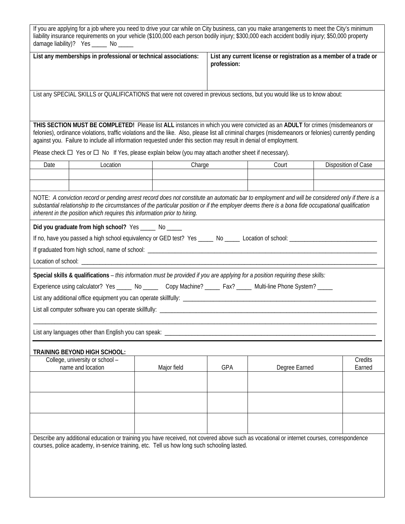| If you are applying for a job where you need to drive your car while on City business, can you make arrangements to meet the City's minimum<br>liability insurance requirements on your vehicle (\$100,000 each person bodily injury; \$300,000 each accident bodily injury; \$50,000 property<br>damage liability)? Yes ______ No _____ |                                                                        |                                                                                                                  |             |                                                                                                                                                                                                                                                                                                      |                     |  |
|------------------------------------------------------------------------------------------------------------------------------------------------------------------------------------------------------------------------------------------------------------------------------------------------------------------------------------------|------------------------------------------------------------------------|------------------------------------------------------------------------------------------------------------------|-------------|------------------------------------------------------------------------------------------------------------------------------------------------------------------------------------------------------------------------------------------------------------------------------------------------------|---------------------|--|
|                                                                                                                                                                                                                                                                                                                                          | List any memberships in professional or technical associations:        |                                                                                                                  | profession: | List any current license or registration as a member of a trade or                                                                                                                                                                                                                                   |                     |  |
|                                                                                                                                                                                                                                                                                                                                          |                                                                        |                                                                                                                  |             | List any SPECIAL SKILLS or QUALIFICATIONS that were not covered in previous sections, but you would like us to know about:                                                                                                                                                                           |                     |  |
|                                                                                                                                                                                                                                                                                                                                          |                                                                        | against you. Failure to include all information requested under this section may result in denial of employment. |             | THIS SECTION MUST BE COMPLETED! Please list ALL instances in which you were convicted as an ADULT for crimes (misdemeanors or<br>felonies), ordinance violations, traffic violations and the like. Also, please list all criminal charges (misdemeanors or felonies) currently pending               |                     |  |
|                                                                                                                                                                                                                                                                                                                                          |                                                                        | Please check $\Box$ Yes or $\Box$ No If Yes, please explain below (you may attach another sheet if necessary).   |             |                                                                                                                                                                                                                                                                                                      |                     |  |
| Date                                                                                                                                                                                                                                                                                                                                     | Location                                                               |                                                                                                                  | Charge      | Court                                                                                                                                                                                                                                                                                                | Disposition of Case |  |
|                                                                                                                                                                                                                                                                                                                                          |                                                                        |                                                                                                                  |             |                                                                                                                                                                                                                                                                                                      |                     |  |
|                                                                                                                                                                                                                                                                                                                                          |                                                                        |                                                                                                                  |             |                                                                                                                                                                                                                                                                                                      |                     |  |
|                                                                                                                                                                                                                                                                                                                                          |                                                                        | inherent in the position which requires this information prior to hiring.                                        |             | NOTE: A conviction record or pending arrest record does not constitute an automatic bar to employment and will be considered only if there is a<br>substantial relationship to the circumstances of the particular position or if the employer deems there is a bona fide occupational qualification |                     |  |
|                                                                                                                                                                                                                                                                                                                                          | Did you graduate from high school? Yes ______ No _____                 |                                                                                                                  |             |                                                                                                                                                                                                                                                                                                      |                     |  |
|                                                                                                                                                                                                                                                                                                                                          |                                                                        |                                                                                                                  |             | If no, have you passed a high school equivalency or GED test? Yes _____ No _____ Location of school: __________________________________                                                                                                                                                              |                     |  |
|                                                                                                                                                                                                                                                                                                                                          |                                                                        |                                                                                                                  |             |                                                                                                                                                                                                                                                                                                      |                     |  |
|                                                                                                                                                                                                                                                                                                                                          |                                                                        |                                                                                                                  |             |                                                                                                                                                                                                                                                                                                      |                     |  |
|                                                                                                                                                                                                                                                                                                                                          |                                                                        |                                                                                                                  |             |                                                                                                                                                                                                                                                                                                      |                     |  |
|                                                                                                                                                                                                                                                                                                                                          |                                                                        |                                                                                                                  |             | Special skills & qualifications - this information must be provided if you are applying for a position requiring these skills:                                                                                                                                                                       |                     |  |
|                                                                                                                                                                                                                                                                                                                                          |                                                                        |                                                                                                                  |             | Experience using calculator? Yes _____ No _____ Copy Machine? _____ Fax? ____ Multi-line Phone System? ____                                                                                                                                                                                          |                     |  |
|                                                                                                                                                                                                                                                                                                                                          |                                                                        |                                                                                                                  |             |                                                                                                                                                                                                                                                                                                      |                     |  |
|                                                                                                                                                                                                                                                                                                                                          |                                                                        |                                                                                                                  |             |                                                                                                                                                                                                                                                                                                      |                     |  |
|                                                                                                                                                                                                                                                                                                                                          |                                                                        |                                                                                                                  |             |                                                                                                                                                                                                                                                                                                      |                     |  |
| List any languages other than English you can speak:                                                                                                                                                                                                                                                                                     |                                                                        |                                                                                                                  |             |                                                                                                                                                                                                                                                                                                      |                     |  |
|                                                                                                                                                                                                                                                                                                                                          |                                                                        |                                                                                                                  |             |                                                                                                                                                                                                                                                                                                      |                     |  |
|                                                                                                                                                                                                                                                                                                                                          | <b>TRAINING BEYOND HIGH SCHOOL:</b><br>College, university or school - |                                                                                                                  |             |                                                                                                                                                                                                                                                                                                      | Credits             |  |
|                                                                                                                                                                                                                                                                                                                                          | name and location                                                      | Major field                                                                                                      | GPA         | Degree Earned                                                                                                                                                                                                                                                                                        | Earned              |  |
|                                                                                                                                                                                                                                                                                                                                          |                                                                        |                                                                                                                  |             |                                                                                                                                                                                                                                                                                                      |                     |  |
|                                                                                                                                                                                                                                                                                                                                          |                                                                        |                                                                                                                  |             |                                                                                                                                                                                                                                                                                                      |                     |  |
|                                                                                                                                                                                                                                                                                                                                          |                                                                        |                                                                                                                  |             |                                                                                                                                                                                                                                                                                                      |                     |  |
|                                                                                                                                                                                                                                                                                                                                          |                                                                        |                                                                                                                  |             |                                                                                                                                                                                                                                                                                                      |                     |  |
|                                                                                                                                                                                                                                                                                                                                          |                                                                        |                                                                                                                  |             |                                                                                                                                                                                                                                                                                                      |                     |  |
|                                                                                                                                                                                                                                                                                                                                          |                                                                        |                                                                                                                  |             |                                                                                                                                                                                                                                                                                                      |                     |  |
|                                                                                                                                                                                                                                                                                                                                          |                                                                        | courses, police academy, in-service training, etc. Tell us how long such schooling lasted.                       |             | Describe any additional education or training you have received, not covered above such as vocational or internet courses, correspondence                                                                                                                                                            |                     |  |
|                                                                                                                                                                                                                                                                                                                                          |                                                                        |                                                                                                                  |             |                                                                                                                                                                                                                                                                                                      |                     |  |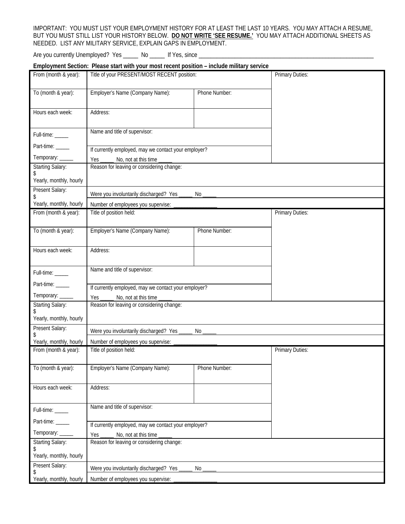### IMPORTANT: YOU MUST LIST YOUR EMPLOYMENT HISTORY FOR AT LEAST THE LAST 10 YEARS. YOU MAY ATTACH A RESUME, BUT YOU MUST STILL LIST YOUR HISTORY BELOW. **DO NOT WRITE 'SEE RESUME.'** YOU MAY ATTACH ADDITIONAL SHEETS AS NEEDED. LIST ANY MILITARY SERVICE, EXPLAIN GAPS IN EMPLOYMENT.

Are you currently Unemployed? Yes \_\_\_\_\_\_ No \_\_\_\_\_ If Yes, since \_\_\_\_\_\_\_\_\_\_\_\_\_\_\_\_

## **Employment Section: Please start with your most recent position – include military service**

| From (month & year):          | Title of your PRESENT/MOST RECENT position:          |               | Primary Duties:        |
|-------------------------------|------------------------------------------------------|---------------|------------------------|
| To (month & year):            | Employer's Name (Company Name):                      | Phone Number: |                        |
|                               |                                                      |               |                        |
| Hours each week:              | Address:                                             |               |                        |
|                               | Name and title of supervisor:                        |               |                        |
| Full-time: ____               |                                                      |               |                        |
| Part-time: _____              | If currently employed, may we contact your employer? |               |                        |
| Temporary: _____              | No, not at this time<br>Yes.                         |               |                        |
| <b>Starting Salary:</b><br>\$ | Reason for leaving or considering change:            |               |                        |
| Yearly, monthly, hourly       |                                                      |               |                        |
| Present Salary:<br>\$         | Were you involuntarily discharged? Yes               | No            |                        |
| Yearly, monthly, hourly       | Number of employees you supervise:                   |               |                        |
| From (month & year):          | Title of position held:                              |               | <b>Primary Duties:</b> |
| To (month & year):            | Employer's Name (Company Name):                      | Phone Number: |                        |
|                               |                                                      |               |                        |
| Hours each week:              | Address:                                             |               |                        |
|                               |                                                      |               |                        |
| Full-time: _____              | Name and title of supervisor:                        |               |                        |
| Part-time: _____              | If currently employed, may we contact your employer? |               |                        |
| Temporary: _____              | No, not at this time<br>Yes                          |               |                        |
| <b>Starting Salary:</b>       | Reason for leaving or considering change:            |               |                        |
| Yearly, monthly, hourly       |                                                      |               |                        |
| Present Salary:               | Were you involuntarily discharged? Yes               | No            |                        |
| Yearly, monthly, hourly       | Number of employees you supervise:                   |               |                        |
| From (month & year):          | Title of position held:                              |               | <b>Primary Duties:</b> |
|                               |                                                      |               |                        |
| To (month & year):            | Employer's Name (Company Name):                      | Phone Number: |                        |
| Hours each week:              | Address:                                             |               |                        |
|                               |                                                      |               |                        |
| Full-time: _____              | Name and title of supervisor:                        |               |                        |
| Part-time: _____              | If currently employed, may we contact your employer? |               |                        |
| Temporary: _____              | No, not at this time<br>Yes                          |               |                        |
| Starting Salary:              | Reason for leaving or considering change:            |               |                        |
| \$<br>Yearly, monthly, hourly |                                                      |               |                        |
| Present Salary:               | Were you involuntarily discharged? Yes               | No            |                        |
| \$<br>Yearly, monthly, hourly | Number of employees you supervise:                   |               |                        |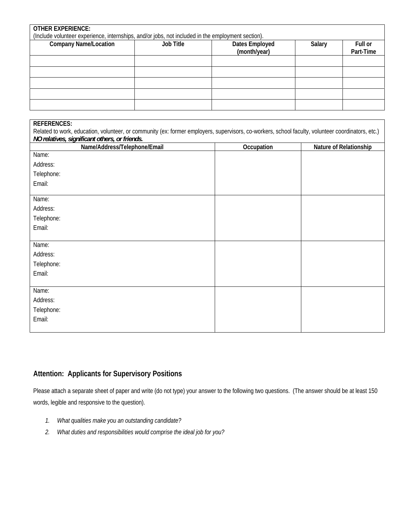| <b>OTHER EXPERIENCE:</b><br>(Include volunteer experience, internships, and/or jobs, not included in the employment section). |           |                                |        |                      |
|-------------------------------------------------------------------------------------------------------------------------------|-----------|--------------------------------|--------|----------------------|
| <b>Company Name/Location</b>                                                                                                  | Job Title | Dates Employed<br>(month/year) | Salary | Full or<br>Part-Time |
|                                                                                                                               |           |                                |        |                      |
|                                                                                                                               |           |                                |        |                      |
|                                                                                                                               |           |                                |        |                      |
|                                                                                                                               |           |                                |        |                      |
|                                                                                                                               |           |                                |        |                      |

| <b>REFERENCES:</b>                                                                                                                                |            |                        |  |  |
|---------------------------------------------------------------------------------------------------------------------------------------------------|------------|------------------------|--|--|
| Related to work, education, volunteer, or community (ex: former employers, supervisors, co-workers, school faculty, volunteer coordinators, etc.) |            |                        |  |  |
| NO relatives, significant others, or friends.                                                                                                     |            |                        |  |  |
| Name/Address/Telephone/Email<br>Name:                                                                                                             | Occupation | Nature of Relationship |  |  |
|                                                                                                                                                   |            |                        |  |  |
| Address:                                                                                                                                          |            |                        |  |  |
| Telephone:                                                                                                                                        |            |                        |  |  |
| Email:                                                                                                                                            |            |                        |  |  |
|                                                                                                                                                   |            |                        |  |  |
| Name:                                                                                                                                             |            |                        |  |  |
| Address:                                                                                                                                          |            |                        |  |  |
| Telephone:                                                                                                                                        |            |                        |  |  |
| Email:                                                                                                                                            |            |                        |  |  |
|                                                                                                                                                   |            |                        |  |  |
| Name:                                                                                                                                             |            |                        |  |  |
| Address:                                                                                                                                          |            |                        |  |  |
| Telephone:                                                                                                                                        |            |                        |  |  |
| Email:                                                                                                                                            |            |                        |  |  |
|                                                                                                                                                   |            |                        |  |  |
| Name:                                                                                                                                             |            |                        |  |  |
| Address:                                                                                                                                          |            |                        |  |  |
| Telephone:                                                                                                                                        |            |                        |  |  |
| Email:                                                                                                                                            |            |                        |  |  |
|                                                                                                                                                   |            |                        |  |  |

# **Attention: Applicants for Supervisory Positions**

Please attach a separate sheet of paper and write (do not type) your answer to the following two questions. (The answer should be at least 150 words, legible and responsive to the question).

- *1. What qualities make you an outstanding candidate?*
- *2. What duties and responsibilities would comprise the ideal job for you?*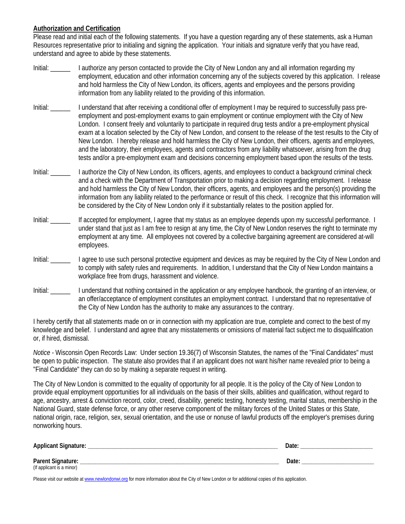### **Authorization and Certification**

Please read and initial each of the following statements. If you have a question regarding any of these statements, ask a Human Resources representative prior to initialing and signing the application. Your initials and signature verify that you have read, understand and agree to abide by these statements.

- Initial: \_\_\_\_\_\_ I authorize any person contacted to provide the City of New London any and all information regarding my employment, education and other information concerning any of the subjects covered by this application. I release and hold harmless the City of New London, its officers, agents and employees and the persons providing information from any liability related to the providing of this information.
- Initial: \_\_\_\_\_\_ I understand that after receiving a conditional offer of employment I may be required to successfully pass preemployment and post-employment exams to gain employment or continue employment with the City of New London. I consent freely and voluntarily to participate in required drug tests and/or a pre-employment physical exam at a location selected by the City of New London, and consent to the release of the test results to the City of New London. I hereby release and hold harmless the City of New London, their officers, agents and employees, and the laboratory, their employees, agents and contractors from any liability whatsoever, arising from the drug tests and/or a pre-employment exam and decisions concerning employment based upon the results of the tests.
- Initial: \_\_\_\_\_\_ I authorize the City of New London, its officers, agents, and employees to conduct a background criminal check and a check with the Department of Transportation prior to making a decision regarding employment. I release and hold harmless the City of New London, their officers, agents, and employees and the person(s) providing the information from any liability related to the performance or result of this check. I recognize that this information will be considered by the City of New London only if it substantially relates to the position applied for.
- Initial: \_\_\_\_\_\_ If accepted for employment, I agree that my status as an employee depends upon my successful performance. I under stand that just as I am free to resign at any time, the City of New London reserves the right to terminate my employment at any time. All employees not covered by a collective bargaining agreement are considered at-will employees.
- Initial: \_\_\_\_\_\_ I agree to use such personal protective equipment and devices as may be required by the City of New London and to comply with safety rules and requirements. In addition, I understand that the City of New London maintains a workplace free from drugs, harassment and violence.
- Initial: \_\_\_\_\_\_ I understand that nothing contained in the application or any employee handbook, the granting of an interview, or an offer/acceptance of employment constitutes an employment contract. I understand that no representative of the City of New London has the authority to make any assurances to the contrary.

I hereby certify that all statements made on or in connection with my application are true, complete and correct to the best of my knowledge and belief. I understand and agree that any misstatements or omissions of material fact subject me to disqualification or, if hired, dismissal.

*Notice* - Wisconsin Open Records Law: Under section 19.36(7) of Wisconsin Statutes, the names of the "Final Candidates" must be open to public inspection. The statute also provides that if an applicant does not want his/her name revealed prior to being a "Final Candidate" they can do so by making a separate request in writing.

The City of New London is committed to the equality of opportunity for all people. It is the policy of the City of New London to provide equal employment opportunities for all individuals on the basis of their skills, abilities and qualification, without regard to age, ancestry, arrest & conviction record, color, creed, disability, genetic testing, honesty testing, marital status, membership in the National Guard, state defense force, or any other reserve component of the military forces of the United States or this State, national origin, race, religion, sex, sexual orientation, and the use or nonuse of lawful products off the employer's premises during nonworking hours.

| <b>Applicant Signature:</b> | Date |
|-----------------------------|------|
| Parent Signature:<br>◡      | Date |
| (If applicant is a minor)   |      |

Please visit our website at www.newlondonwi.org for more information about the City of New London or for additional copies of this application.